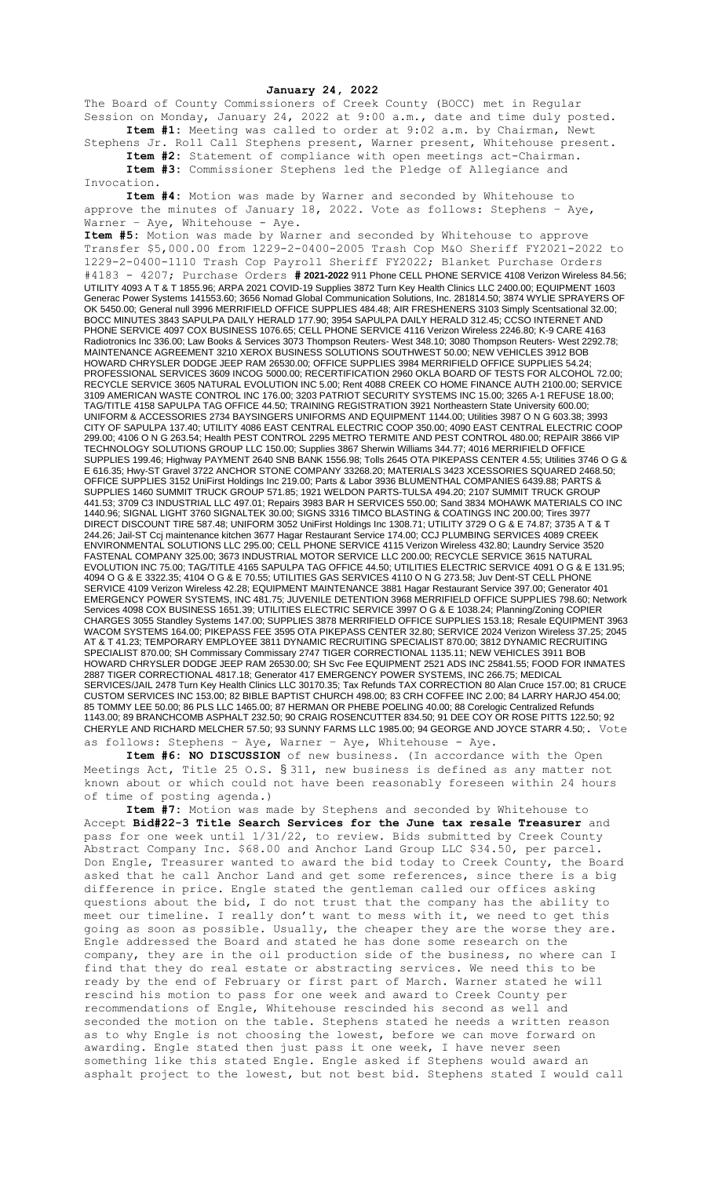## **January 24, 2022**

The Board of County Commissioners of Creek County (BOCC) met in Regular Session on Monday, January 24, 2022 at 9:00 a.m., date and time duly posted. **Item #1:** Meeting was called to order at 9:02 a.m. by Chairman, Newt

Stephens Jr. Roll Call Stephens present, Warner present, Whitehouse present. **Item #2:** Statement of compliance with open meetings act-Chairman. **Item #3:** Commissioner Stephens led the Pledge of Allegiance and

Invocation.

**Item #4:** Motion was made by Warner and seconded by Whitehouse to approve the minutes of January 18, 2022. Vote as follows: Stephens - Aye, Warner - Aye, Whitehouse - Aye.

**Item #5:** Motion was made by Warner and seconded by Whitehouse to approve Transfer \$5,000.00 from 1229-2-0400-2005 Trash Cop M&O Sheriff FY2021-2022 to 1229-2-0400-1110 Trash Cop Payroll Sheriff FY2022; Blanket Purchase Orders #4183 - 4207; Purchase Orders **# 2021-2022** 911 Phone CELL PHONE SERVICE 4108 Verizon Wireless 84.56; UTILITY 4093 A T & T 1855.96; ARPA 2021 COVID-19 Supplies 3872 Turn Key Health Clinics LLC 2400.00; EQUIPMENT 1603 Generac Power Systems 141553.60; 3656 Nomad Global Communication Solutions, Inc. 281814.50; 3874 WYLIE SPRAYERS OF OK 5450.00; General null 3996 MERRIFIELD OFFICE SUPPLIES 484.48; AIR FRESHENERS 3103 Simply Scentsational 32.00; BOCC MINUTES 3843 SAPULPA DAILY HERALD 177.90; 3954 SAPULPA DAILY HERALD 312.45; CCSO INTERNET AND PHONE SERVICE 4097 COX BUSINESS 1076.65; CELL PHONE SERVICE 4116 Verizon Wireless 2246.80; K-9 CARE 4163 Radiotronics Inc 336.00; Law Books & Services 3073 Thompson Reuters- West 348.10; 3080 Thompson Reuters- West 2292.78; MAINTENANCE AGREEMENT 3210 XEROX BUSINESS SOLUTIONS SOUTHWEST 50.00; NEW VEHICLES 3912 BOB HOWARD CHRYSLER DODGE JEEP RAM 26530.00; OFFICE SUPPLIES 3984 MERRIFIELD OFFICE SUPPLIES 54.24; PROFESSIONAL SERVICES 3609 INCOG 5000.00; RECERTIFICATION 2960 OKLA BOARD OF TESTS FOR ALCOHOL 72.00; RECYCLE SERVICE 3605 NATURAL EVOLUTION INC 5.00; Rent 4088 CREEK CO HOME FINANCE AUTH 2100.00; SERVICE 3109 AMERICAN WASTE CONTROL INC 176.00; 3203 PATRIOT SECURITY SYSTEMS INC 15.00; 3265 A-1 REFUSE 18.00; TAG/TITLE 4158 SAPULPA TAG OFFICE 44.50; TRAINING REGISTRATION 3921 Northeastern State University 600.00; UNIFORM & ACCESSORIES 2734 BAYSINGERS UNIFORMS AND EQUIPMENT 1144.00; Utilities 3987 O N G 603.38; 3993 CITY OF SAPULPA 137.40; UTILITY 4086 EAST CENTRAL ELECTRIC COOP 350.00; 4090 EAST CENTRAL ELECTRIC COOP 299.00; 4106 O N G 263.54; Health PEST CONTROL 2295 METRO TERMITE AND PEST CONTROL 480.00; REPAIR 3866 VIP TECHNOLOGY SOLUTIONS GROUP LLC 150.00; Supplies 3867 Sherwin Williams 344.77; 4016 MERRIFIELD OFFICE SUPPLIES 199.46; Highway PAYMENT 2640 SNB BANK 1556.98; Tolls 2645 OTA PIKEPASS CENTER 4.55; Utilities 3746 O G & E 616.35; Hwy-ST Gravel 3722 ANCHOR STONE COMPANY 33268.20; MATERIALS 3423 XCESSORIES SQUARED 2468.50; OFFICE SUPPLIES 3152 UniFirst Holdings Inc 219.00; Parts & Labor 3936 BLUMENTHAL COMPANIES 6439.88; PARTS & SUPPLIES 1460 SUMMIT TRUCK GROUP 571.85; 1921 WELDON PARTS-TULSA 494.20; 2107 SUMMIT TRUCK GROUP 441.53; 3709 C3 INDUSTRIAL LLC 497.01; Repairs 3983 BAR H SERVICES 550.00; Sand 3834 MOHAWK MATERIALS CO INC 1440.96; SIGNAL LIGHT 3760 SIGNALTEK 30.00; SIGNS 3316 TIMCO BLASTING & COATINGS INC 200.00; Tires 3977 DIRECT DISCOUNT TIRE 587.48; UNIFORM 3052 UniFirst Holdings Inc 1308.71; UTILITY 3729 O G & E 74.87; 3735 A T & T 244.26; Jail-ST Ccj maintenance kitchen 3677 Hagar Restaurant Service 174.00; CCJ PLUMBING SERVICES 4089 CREEK ENVIRONMENTAL SOLUTIONS LLC 295.00; CELL PHONE SERVICE 4115 Verizon Wireless 432.80; Laundry Service 3520 FASTENAL COMPANY 325.00; 3673 INDUSTRIAL MOTOR SERVICE LLC 200.00; RECYCLE SERVICE 3615 NATURAL EVOLUTION INC 75.00; TAG/TITLE 4165 SAPULPA TAG OFFICE 44.50; UTILITIES ELECTRIC SERVICE 4091 O G & E 131.95; 4094 O G & E 3322.35; 4104 O G & E 70.55; UTILITIES GAS SERVICES 4110 O N G 273.58; Juv Dent-ST CELL PHONE SERVICE 4109 Verizon Wireless 42.28; EQUIPMENT MAINTENANCE 3881 Hagar Restaurant Service 397.00; Generator 401 EMERGENCY POWER SYSTEMS, INC 481.75; JUVENILE DETENTION 3968 MERRIFIELD OFFICE SUPPLIES 798.60; Network Services 4098 COX BUSINESS 1651.39; UTILITIES ELECTRIC SERVICE 3997 O G & E 1038.24; Planning/Zoning COPIER CHARGES 3055 Standley Systems 147.00; SUPPLIES 3878 MERRIFIELD OFFICE SUPPLIES 153.18; Resale EQUIPMENT 3963 WACOM SYSTEMS 164.00; PIKEPASS FEE 3595 OTA PIKEPASS CENTER 32.80; SERVICE 2024 Verizon Wireless 37.25; 2045 AT & T 41.23; TEMPORARY EMPLOYEE 3811 DYNAMIC RECRUITING SPECIALIST 870.00; 3812 DYNAMIC RECRUITING SPECIALIST 870.00; SH Commissary Commissary 2747 TIGER CORRECTIONAL 1135.11; NEW VEHICLES 3911 BOB HOWARD CHRYSLER DODGE JEEP RAM 26530.00; SH Svc Fee EQUIPMENT 2521 ADS INC 25841.55; FOOD FOR INMATES 2887 TIGER CORRECTIONAL 4817.18; Generator 417 EMERGENCY POWER SYSTEMS, INC 266.75; MEDICAL SERVICES/JAIL 2478 Turn Key Health Clinics LLC 30170.35; Tax Refunds TAX CORRECTION 80 Alan Cruce 157.00; 81 CRUCE CUSTOM SERVICES INC 153.00; 82 BIBLE BAPTIST CHURCH 498.00; 83 CRH COFFEE INC 2.00; 84 LARRY HARJO 454.00; 85 TOMMY LEE 50.00; 86 PLS LLC 1465.00; 87 HERMAN OR PHEBE POELING 40.00; 88 Corelogic Centralized Refunds 1143.00; 89 BRANCHCOMB ASPHALT 232.50; 90 CRAIG ROSENCUTTER 834.50; 91 DEE COY OR ROSE PITTS 122.50; 92 CHERYLE AND RICHARD MELCHER 57.50; 93 SUNNY FARMS LLC 1985.00; 94 GEORGE AND JOYCE STARR 4.50;. Vote as follows: Stephens – Aye, Warner – Aye, Whitehouse - Aye.

**Item #6: NO DISCUSSION** of new business. (In accordance with the Open Meetings Act, Title 25 O.S. § 311, new business is defined as any matter not known about or which could not have been reasonably foreseen within 24 hours of time of posting agenda.)

**Item #7:** Motion was made by Stephens and seconded by Whitehouse to Accept **Bid#22-3 Title Search Services for the June tax resale Treasurer** and pass for one week until 1/31/22, to review. Bids submitted by Creek County Abstract Company Inc. \$68.00 and Anchor Land Group LLC \$34.50, per parcel. Don Engle, Treasurer wanted to award the bid today to Creek County, the Board asked that he call Anchor Land and get some references, since there is a big difference in price. Engle stated the gentleman called our offices asking questions about the bid, I do not trust that the company has the ability to meet our timeline. I really don't want to mess with it, we need to get this going as soon as possible. Usually, the cheaper they are the worse they are. Engle addressed the Board and stated he has done some research on the company, they are in the oil production side of the business, no where can I find that they do real estate or abstracting services. We need this to be ready by the end of February or first part of March. Warner stated he will rescind his motion to pass for one week and award to Creek County per recommendations of Engle, Whitehouse rescinded his second as well and seconded the motion on the table. Stephens stated he needs a written reason as to why Engle is not choosing the lowest, before we can move forward on awarding. Engle stated then just pass it one week, I have never seen something like this stated Engle. Engle asked if Stephens would award an asphalt project to the lowest, but not best bid. Stephens stated I would call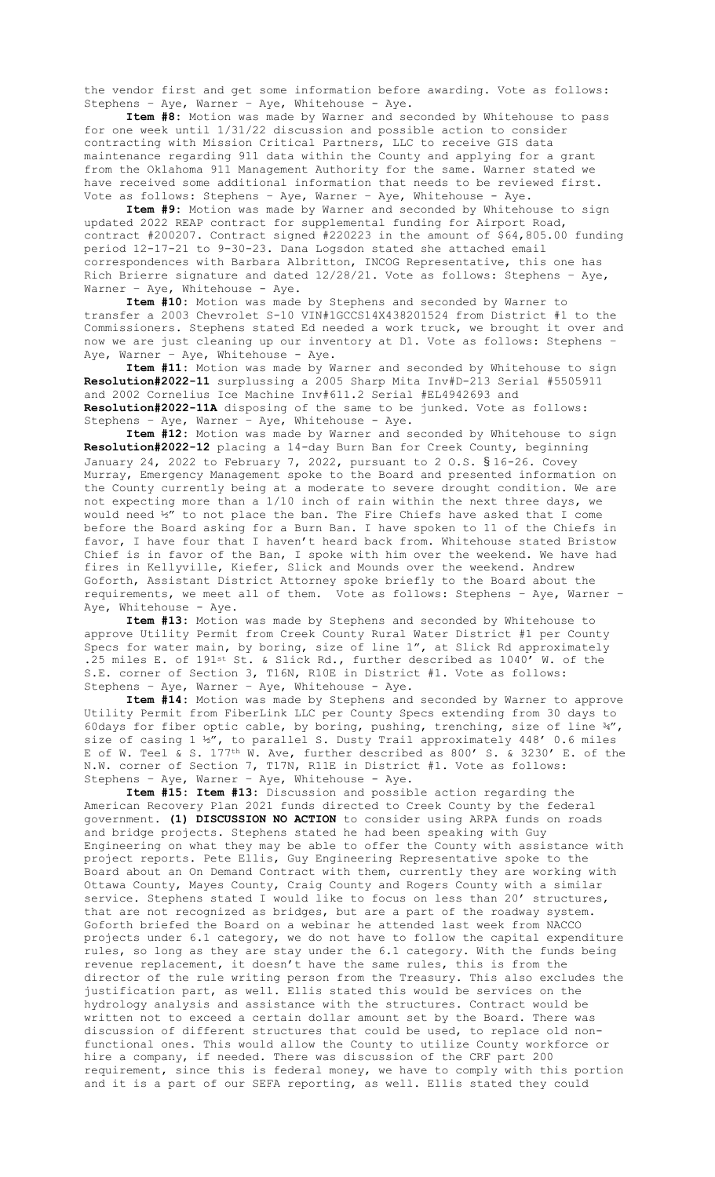the vendor first and get some information before awarding. Vote as follows: Stephens – Aye, Warner – Aye, Whitehouse - Aye.

**Item #8:** Motion was made by Warner and seconded by Whitehouse to pass for one week until 1/31/22 discussion and possible action to consider contracting with Mission Critical Partners, LLC to receive GIS data maintenance regarding 911 data within the County and applying for a grant from the Oklahoma 911 Management Authority for the same. Warner stated we have received some additional information that needs to be reviewed first. Vote as follows: Stephens – Aye, Warner – Aye, Whitehouse - Aye.

**Item #9:** Motion was made by Warner and seconded by Whitehouse to sign updated 2022 REAP contract for supplemental funding for Airport Road, contract #200207. Contract signed #220223 in the amount of \$64,805.00 funding period 12-17-21 to 9-30-23. Dana Logsdon stated she attached email correspondences with Barbara Albritton, INCOG Representative, this one has Rich Brierre signature and dated 12/28/21. Vote as follows: Stephens – Aye, Warner - Aye, Whitehouse - Aye.

**Item #10:** Motion was made by Stephens and seconded by Warner to transfer a 2003 Chevrolet S-10 VIN#1GCCS14X438201524 from District #1 to the Commissioners. Stephens stated Ed needed a work truck, we brought it over and now we are just cleaning up our inventory at D1. Vote as follows: Stephens – Aye, Warner - Aye, Whitehouse - Aye.

**Item #11:** Motion was made by Warner and seconded by Whitehouse to sign **Resolution#2022-11** surplussing a 2005 Sharp Mita Inv#D-213 Serial #5505911 and 2002 Cornelius Ice Machine Inv#611.2 Serial #EL4942693 and **Resolution#2022-11A** disposing of the same to be junked. Vote as follows: Stephens – Aye, Warner – Aye, Whitehouse - Aye.

**Item #12:** Motion was made by Warner and seconded by Whitehouse to sign **Resolution#2022-12** placing a 14-day Burn Ban for Creek County, beginning January 24, 2022 to February 7, 2022, pursuant to 2 O.S. § 16-26. Covey Murray, Emergency Management spoke to the Board and presented information on the County currently being at a moderate to severe drought condition. We are not expecting more than a 1/10 inch of rain within the next three days, we would need ½" to not place the ban. The Fire Chiefs have asked that I come before the Board asking for a Burn Ban. I have spoken to 11 of the Chiefs in favor, I have four that I haven't heard back from. Whitehouse stated Bristow Chief is in favor of the Ban, I spoke with him over the weekend. We have had fires in Kellyville, Kiefer, Slick and Mounds over the weekend. Andrew Goforth, Assistant District Attorney spoke briefly to the Board about the requirements, we meet all of them. Vote as follows: Stephens – Aye, Warner – Aye, Whitehouse - Aye.

**Item #13:** Motion was made by Stephens and seconded by Whitehouse to approve Utility Permit from Creek County Rural Water District #1 per County Specs for water main, by boring, size of line 1", at Slick Rd approximately .25 miles E. of 191st St. & Slick Rd., further described as 1040' W. of the S.E. corner of Section 3, T16N, R10E in District #1. Vote as follows: Stephens – Aye, Warner – Aye, Whitehouse - Aye.

**Item #14:** Motion was made by Stephens and seconded by Warner to approve Utility Permit from FiberLink LLC per County Specs extending from 30 days to 60days for fiber optic cable, by boring, pushing, trenching, size of line  $\frac{3}{4}$ , size of casing  $1 \frac{1}{2}$ , to parallel S. Dusty Trail approximately 448' 0.6 miles E of W. Teel & S. 177<sup>th</sup> W. Ave, further described as 800' S. & 3230' E. of the N.W. corner of Section 7, T17N, R11E in District #1. Vote as follows: Stephens – Aye, Warner – Aye, Whitehouse - Aye.

**Item #15: Item #13:** Discussion and possible action regarding the American Recovery Plan 2021 funds directed to Creek County by the federal government. **(1) DISCUSSION NO ACTION** to consider using ARPA funds on roads and bridge projects. Stephens stated he had been speaking with Guy Engineering on what they may be able to offer the County with assistance with project reports. Pete Ellis, Guy Engineering Representative spoke to the Board about an On Demand Contract with them, currently they are working with Ottawa County, Mayes County, Craig County and Rogers County with a similar service. Stephens stated I would like to focus on less than 20' structures, that are not recognized as bridges, but are a part of the roadway system. Goforth briefed the Board on a webinar he attended last week from NACCO projects under 6.1 category, we do not have to follow the capital expenditure rules, so long as they are stay under the 6.1 category. With the funds being revenue replacement, it doesn't have the same rules, this is from the director of the rule writing person from the Treasury. This also excludes the justification part, as well. Ellis stated this would be services on the hydrology analysis and assistance with the structures. Contract would be written not to exceed a certain dollar amount set by the Board. There was discussion of different structures that could be used, to replace old nonfunctional ones. This would allow the County to utilize County workforce or hire a company, if needed. There was discussion of the CRF part 200 requirement, since this is federal money, we have to comply with this portion and it is a part of our SEFA reporting, as well. Ellis stated they could